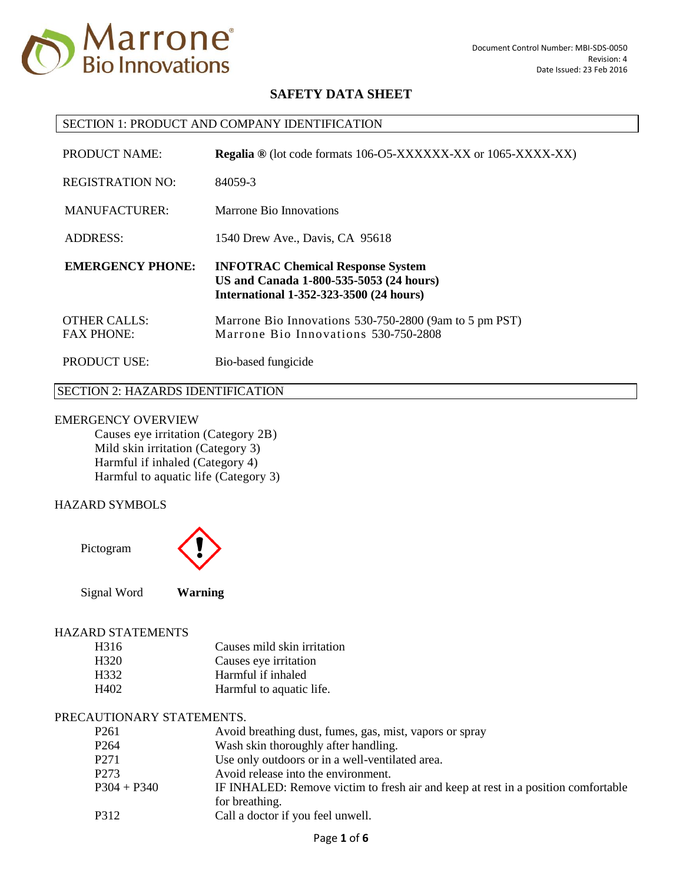

#### SECTION 1: PRODUCT AND COMPANY IDENTIFICATION

| PRODUCT NAME:                            | <b>Regalia</b> ® (lot code formats 106-O5-XXXXXX-XX or 1065-XXXX-XX)                                                                  |
|------------------------------------------|---------------------------------------------------------------------------------------------------------------------------------------|
| <b>REGISTRATION NO:</b>                  | 84059-3                                                                                                                               |
| MANUFACTURER:                            | Marrone Bio Innovations                                                                                                               |
| <b>ADDRESS:</b>                          | 1540 Drew Ave., Davis, CA 95618                                                                                                       |
|                                          |                                                                                                                                       |
| <b>EMERGENCY PHONE:</b>                  | <b>INFOTRAC Chemical Response System</b><br>US and Canada 1-800-535-5053 (24 hours)<br><b>International 1-352-323-3500 (24 hours)</b> |
| <b>OTHER CALLS:</b><br><b>FAX PHONE:</b> | Marrone Bio Innovations 530-750-2800 (9am to 5 pm PST)<br>Marrone Bio Innovations 530-750-2808                                        |

# SECTION 2: HAZARDS IDENTIFICATION

#### EMERGENCY OVERVIEW

Causes eye irritation (Category 2B) Mild skin irritation (Category 3) Harmful if inhaled (Category 4) Harmful to aquatic life (Category 3)

# HAZARD SYMBOLS

Pictogram



Signal Word **Warning**

### HAZARD STATEMENTS

| H316 | Causes mild skin irritation |
|------|-----------------------------|
| H320 | Causes eye irritation       |
| H332 | Harmful if inhaled          |
| H402 | Harmful to aquatic life.    |

### PRECAUTIONARY STATEMENTS.

| P <sub>261</sub> | Avoid breathing dust, fumes, gas, mist, vapors or spray                           |
|------------------|-----------------------------------------------------------------------------------|
| P <sub>264</sub> | Wash skin thoroughly after handling.                                              |
| P <sub>271</sub> | Use only outdoors or in a well-ventilated area.                                   |
| P <sub>273</sub> | Avoid release into the environment.                                               |
| $P304 + P340$    | IF INHALED: Remove victim to fresh air and keep at rest in a position comfortable |
| P312             | for breathing.<br>Call a doctor if you feel unwell.                               |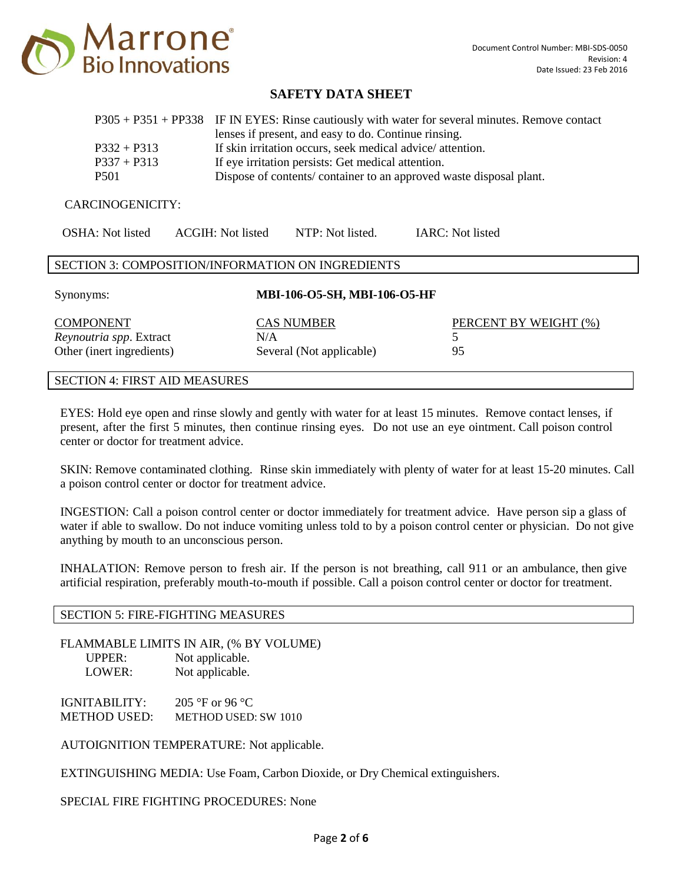

|               | P305 + P351 + PP338 IF IN EYES: Rinse cautiously with water for several minutes. Remove contact |
|---------------|-------------------------------------------------------------------------------------------------|
|               | lenses if present, and easy to do. Continue rinsing.                                            |
| $P332 + P313$ | If skin irritation occurs, seek medical advice/attention.                                       |
| $P337 + P313$ | If eye irritation persists: Get medical attention.                                              |
| <b>P501</b>   | Dispose of contents/container to an approved waste disposal plant.                              |

#### CARCINOGENICITY:

| OSHA: Not listed | ACGIH: Not listed                                 | NTP: Not listed. | IARC: Not listed |  |
|------------------|---------------------------------------------------|------------------|------------------|--|
|                  | SECTION 3: COMPOSITION/INFORMATION ON INGREDIENTS |                  |                  |  |

Synonyms: **MBI-106-O5-SH, MBI-106-O5-HF**

CAS NUMBER PERCENT BY WEIGHT (%)

| <b>COMPONENT</b>               | <b>CAS NUMBER</b>        |  |  |
|--------------------------------|--------------------------|--|--|
| <i>Reynoutria spp.</i> Extract | N/A                      |  |  |
| Other (inert ingredients)      | Several (Not applicable) |  |  |

# SECTION 4: FIRST AID MEASURES

EYES: Hold eye open and rinse slowly and gently with water for at least 15 minutes. Remove contact lenses, if present, after the first 5 minutes, then continue rinsing eyes. Do not use an eye ointment. Call poison control center or doctor for treatment advice.

SKIN: Remove contaminated clothing. Rinse skin immediately with plenty of water for at least 15-20 minutes. Call a poison control center or doctor for treatment advice.

INGESTION: Call a poison control center or doctor immediately for treatment advice. Have person sip a glass of water if able to swallow. Do not induce vomiting unless told to by a poison control center or physician. Do not give anything by mouth to an unconscious person.

INHALATION: Remove person to fresh air. If the person is not breathing, call 911 or an ambulance, then give artificial respiration, preferably mouth-to-mouth if possible. Call a poison control center or doctor for treatment.

#### SECTION 5: FIRE-FIGHTING MEASURES

FLAMMABLE LIMITS IN AIR, (% BY VOLUME) UPPER: Not applicable. LOWER: Not applicable.

IGNITABILITY: 205 °F or 96 °C METHOD USED: METHOD USED: SW 1010

AUTOIGNITION TEMPERATURE: Not applicable.

EXTINGUISHING MEDIA: Use Foam, Carbon Dioxide, or Dry Chemical extinguishers.

SPECIAL FIRE FIGHTING PROCEDURES: None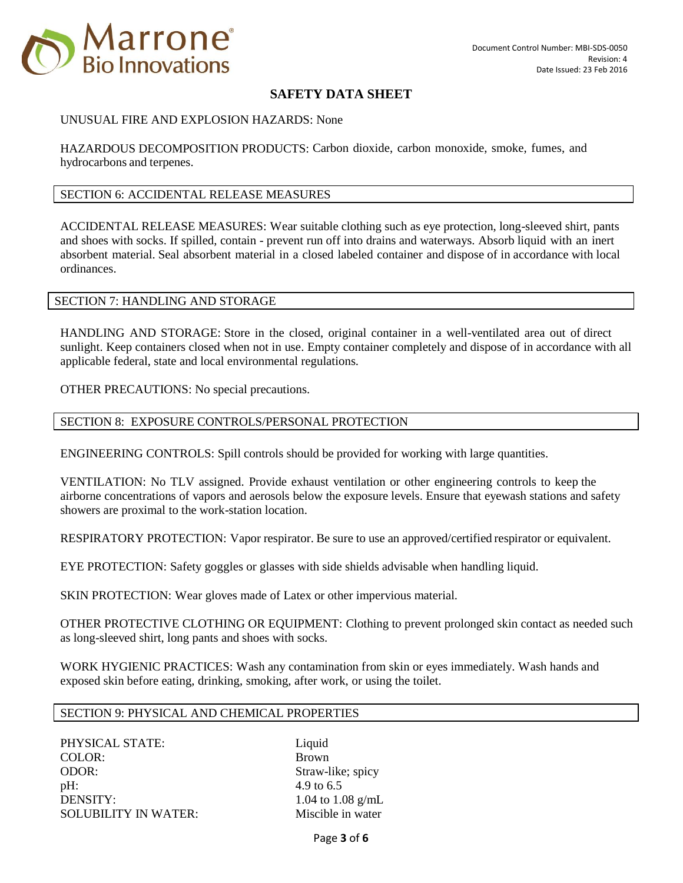

#### UNUSUAL FIRE AND EXPLOSION HAZARDS: None

HAZARDOUS DECOMPOSITION PRODUCTS: Carbon dioxide, carbon monoxide, smoke, fumes, and hydrocarbons and terpenes.

#### SECTION 6: ACCIDENTAL RELEASE MEASURES

ACCIDENTAL RELEASE MEASURES: Wear suitable clothing such as eye protection, long-sleeved shirt, pants and shoes with socks. If spilled, contain - prevent run off into drains and waterways. Absorb liquid with an inert absorbent material. Seal absorbent material in a closed labeled container and dispose of in accordance with local ordinances.

#### SECTION 7: HANDLING AND STORAGE

HANDLING AND STORAGE: Store in the closed, original container in a well-ventilated area out of direct sunlight. Keep containers closed when not in use. Empty container completely and dispose of in accordance with all applicable federal, state and local environmental regulations.

OTHER PRECAUTIONS: No special precautions.

### SECTION 8: EXPOSURE CONTROLS/PERSONAL PROTECTION

ENGINEERING CONTROLS: Spill controls should be provided for working with large quantities.

VENTILATION: No TLV assigned. Provide exhaust ventilation or other engineering controls to keep the airborne concentrations of vapors and aerosols below the exposure levels. Ensure that eyewash stations and safety showers are proximal to the work-station location.

RESPIRATORY PROTECTION: Vapor respirator. Be sure to use an approved/certified respirator or equivalent.

EYE PROTECTION: Safety goggles or glasses with side shields advisable when handling liquid.

SKIN PROTECTION: Wear gloves made of Latex or other impervious material.

OTHER PROTECTIVE CLOTHING OR EQUIPMENT: Clothing to prevent prolonged skin contact as needed such as long-sleeved shirt, long pants and shoes with socks.

WORK HYGIENIC PRACTICES: Wash any contamination from skin or eyes immediately. Wash hands and exposed skin before eating, drinking, smoking, after work, or using the toilet.

#### SECTION 9: PHYSICAL AND CHEMICAL PROPERTIES

PHYSICAL STATE: Liquid COLOR: Brown ODOR: Straw-like; spicy pH:  $4.9 \text{ to } 6.5$ DENSITY:  $1.04 \text{ to } 1.08 \text{ g/mL}$ SOLUBILITY IN WATER: Miscible in water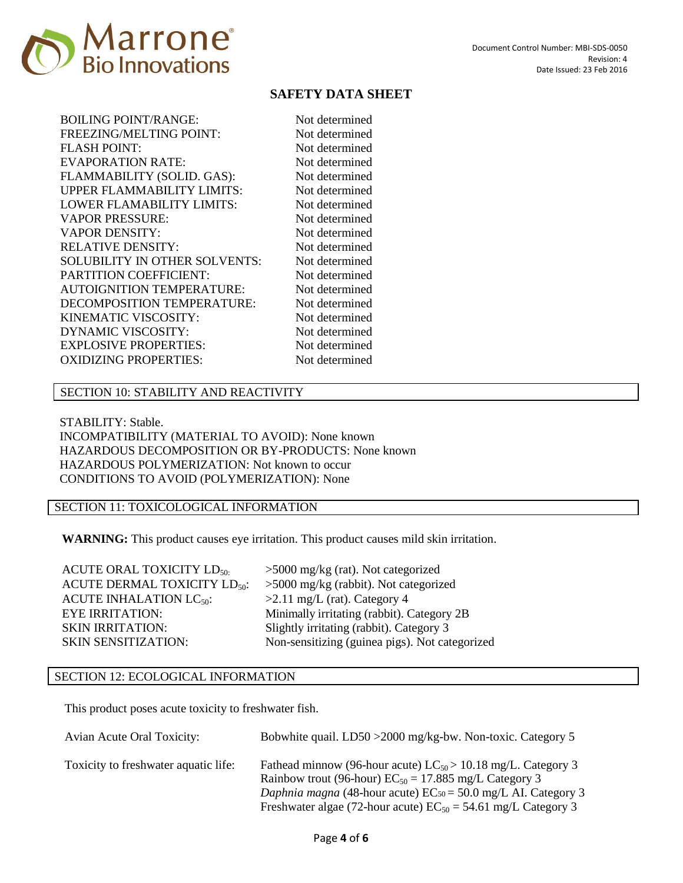

| Not determined |
|----------------|
| Not determined |
| Not determined |
| Not determined |
| Not determined |
| Not determined |
| Not determined |
| Not determined |
| Not determined |
| Not determined |
| Not determined |
| Not determined |
| Not determined |
| Not determined |
| Not determined |
| Not determined |
| Not determined |
| Not determined |
|                |
|                |

### SECTION 10: STABILITY AND REACTIVITY

STABILITY: Stable. INCOMPATIBILITY (MATERIAL TO AVOID): None known HAZARDOUS DECOMPOSITION OR BY-PRODUCTS: None known HAZARDOUS POLYMERIZATION: Not known to occur CONDITIONS TO AVOID (POLYMERIZATION): None

### SECTION 11: TOXICOLOGICAL INFORMATION

**WARNING:** This product causes eye irritation. This product causes mild skin irritation.

ACUTE ORAL TOXICITY  $LD_{50}$ : >5000 mg/kg (rat). Not categorized ACUTE DERMAL TOXICITY  $LD_{50}$ : >5000 mg/kg (rabbit). Not categorized ACUTE INHALATION  $LC_{50}$ :  $>2.11$  mg/L (rat). Category 4 EYE IRRITATION: Minimally irritating (rabbit). Category 2B SKIN IRRITATION: Slightly irritating (rabbit). Category 3 SKIN SENSITIZATION: Non-sensitizing (guinea pigs). Not categorized

### SECTION 12: ECOLOGICAL INFORMATION

This product poses acute toxicity to freshwater fish.

| Avian Acute Oral Toxicity:           | Bobwhite quail. LD50 > 2000 mg/kg-bw. Non-toxic. Category 5                                                                                                                                                                                                                        |
|--------------------------------------|------------------------------------------------------------------------------------------------------------------------------------------------------------------------------------------------------------------------------------------------------------------------------------|
| Toxicity to freshwater aquatic life: | Fathead minnow (96-hour acute) $LC_{50} > 10.18$ mg/L. Category 3<br>Rainbow trout (96-hour) $EC_{50} = 17.885$ mg/L Category 3<br><i>Daphnia magna</i> (48-hour acute) $EC_{50} = 50.0$ mg/L AI. Category 3<br>Freshwater algae (72-hour acute) $EC_{50} = 54.61$ mg/L Category 3 |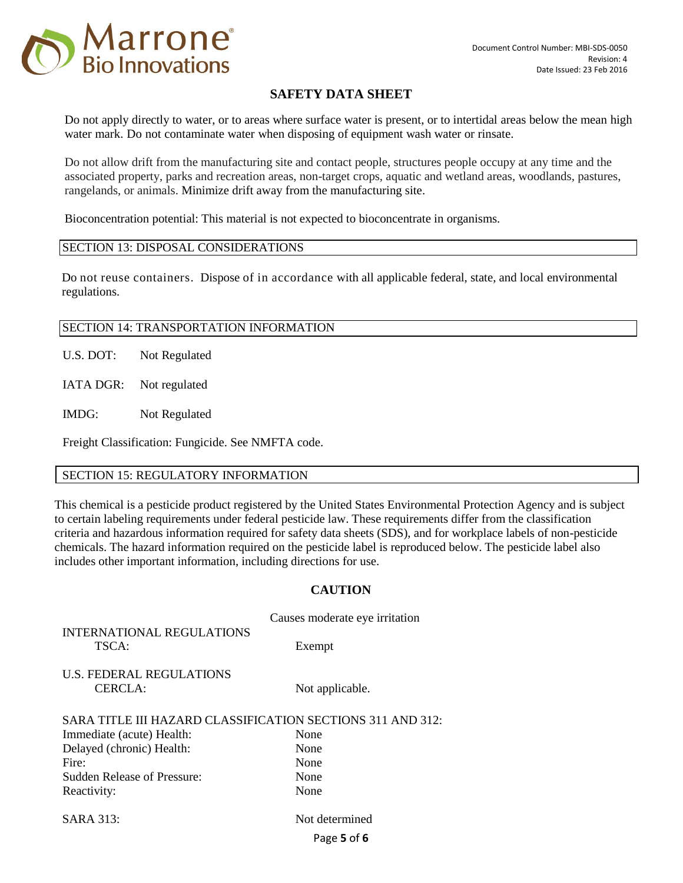

Do not apply directly to water, or to areas where surface water is present, or to intertidal areas below the mean high water mark. Do not contaminate water when disposing of equipment wash water or rinsate.

Do not allow drift from the manufacturing site and contact people, structures people occupy at any time and the associated property, parks and recreation areas, non-target crops, aquatic and wetland areas, woodlands, pastures, rangelands, or animals. Minimize drift away from the manufacturing site.

Bioconcentration potential: This material is not expected to bioconcentrate in organisms.

### SECTION 13: DISPOSAL CONSIDERATIONS

Do not reuse containers. Dispose of in accordance with all applicable federal, state, and local environmental regulations.

### SECTION 14: TRANSPORTATION INFORMATION

U.S. DOT: Not Regulated

IATA DGR: Not regulated

IMDG: Not Regulated

Freight Classification: Fungicide. See NMFTA code.

### SECTION 15: REGULATORY INFORMATION

This chemical is a pesticide product registered by the United States Environmental Protection Agency and is subject to certain labeling requirements under federal pesticide law. These requirements differ from the classification criteria and hazardous information required for safety data sheets (SDS), and for workplace labels of non-pesticide chemicals. The hazard information required on the pesticide label is reproduced below. The pesticide label also includes other important information, including directions for use.

### **CAUTION**

Causes moderate eye irritation INTERNATIONAL REGULATIONS TSCA: Exempt U.S. FEDERAL REGULATIONS CERCLA: Not applicable. SARA TITLE III HAZARD CLASSIFICATION SECTIONS 311 AND 312: Immediate (acute) Health: None Delayed (chronic) Health: None Fire: None Sudden Release of Pressure: None Reactivity: None SARA 313: Not determined

Page **5** of **6**